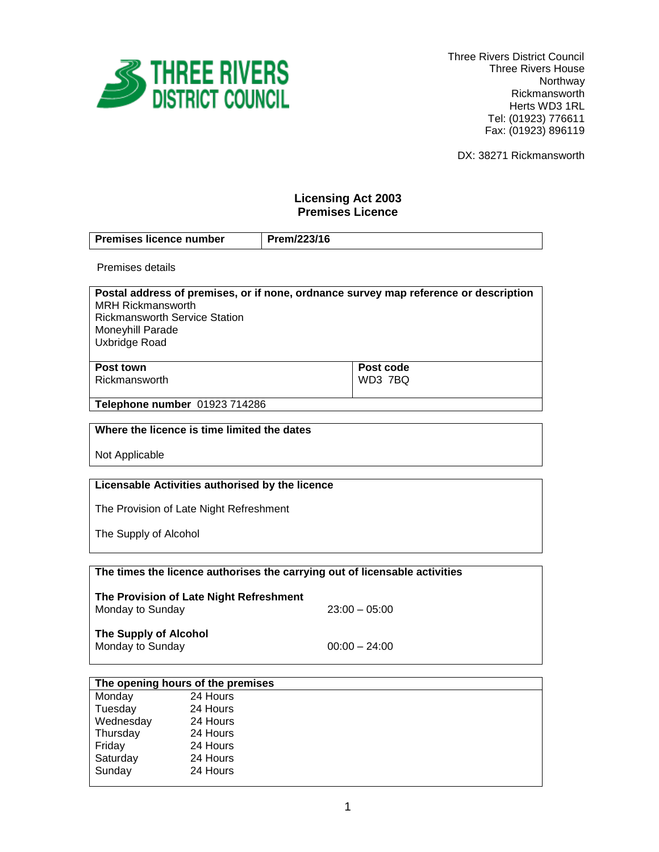

 Three Rivers District Council Three Rivers House Northway Rickmansworth Herts WD3 1RL Tel: (01923) 776611 Fax: (01923) 896119

DX: 38271 Rickmansworth

# **Licensing Act 2003 Premises Licence**

| Prem/223/16<br><b>Premises licence number</b> |  |
|-----------------------------------------------|--|
|-----------------------------------------------|--|

Premises details

| Postal address of premises, or if none, ordnance survey map reference or description |           |
|--------------------------------------------------------------------------------------|-----------|
| <b>MRH Rickmansworth</b>                                                             |           |
| <b>Rickmansworth Service Station</b>                                                 |           |
| Moneyhill Parade                                                                     |           |
| Uxbridge Road                                                                        |           |
|                                                                                      |           |
| Post town                                                                            | Post code |

Rickmansworth

**Post code** WD3 7BQ

**Telephone number** 01923 714286

### **Where the licence is time limited the dates**

Not Applicable

### **Licensable Activities authorised by the licence**

The Provision of Late Night Refreshment

The Supply of Alcohol

| The times the licence authorises the carrying out of licensable activities |  |
|----------------------------------------------------------------------------|--|
|----------------------------------------------------------------------------|--|

**The Provision of Late Night Refreshment** Monday to Sunday 23:00 – 05:00

**The Supply of Alcohol** Monday to Sunday  $00:00 - 24:00$ 

| The opening hours of the premises |          |  |
|-----------------------------------|----------|--|
| Monday                            | 24 Hours |  |
| Tuesday                           | 24 Hours |  |
| Wednesday                         | 24 Hours |  |
| Thursday                          | 24 Hours |  |
| Friday                            | 24 Hours |  |
| Saturday                          | 24 Hours |  |
| Sunday                            | 24 Hours |  |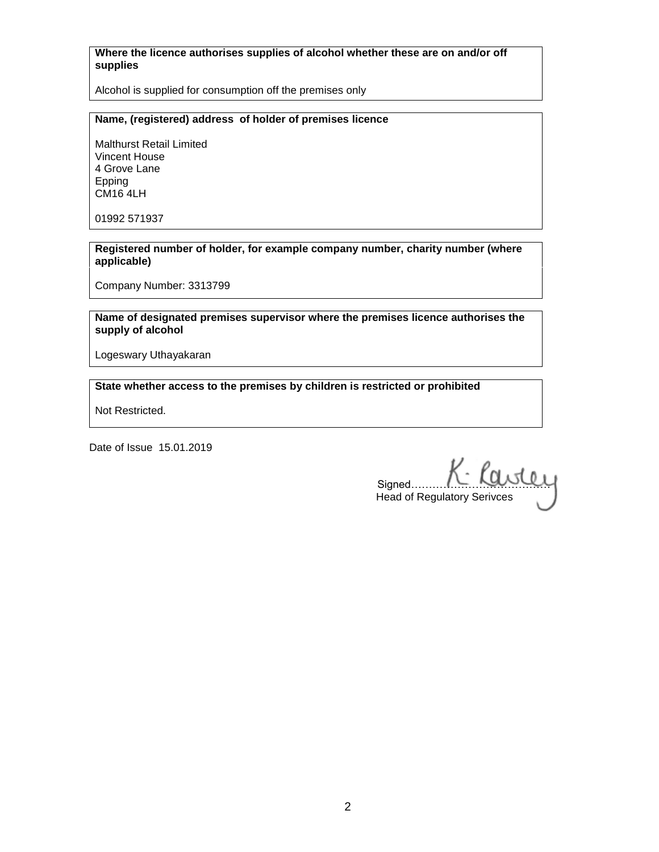### **Where the licence authorises supplies of alcohol whether these are on and/or off supplies**

Alcohol is supplied for consumption off the premises only

### **Name, (registered) address of holder of premises licence**

Malthurst Retail Limited Vincent House 4 Grove Lane Epping CM16 4LH

01992 571937

**Registered number of holder, for example company number, charity number (where applicable)**

Company Number: 3313799

**Name of designated premises supervisor where the premises licence authorises the supply of alcohol**

Logeswary Uthayakaran

## **State whether access to the premises by children is restricted or prohibited**

Not Restricted.

Date of Issue 15.01.2019

signed…………K. Karsley Head of Regulatory Serivces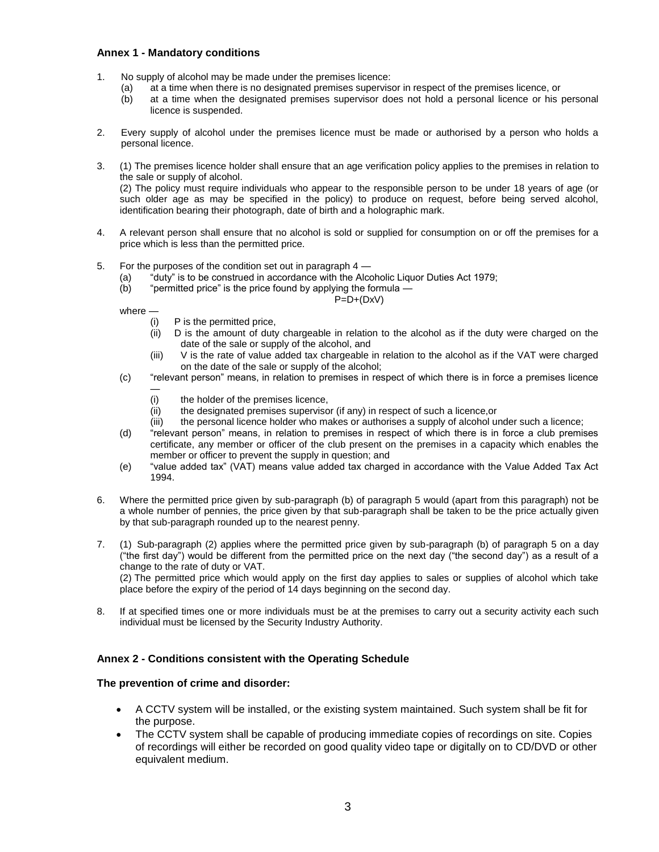#### **Annex 1 - Mandatory conditions**

- 1. No supply of alcohol may be made under the premises licence:
	- (a) at a time when there is no designated premises supervisor in respect of the premises licence, or
	- (b) at a time when the designated premises supervisor does not hold a personal licence or his personal licence is suspended.
- 2. Every supply of alcohol under the premises licence must be made or authorised by a person who holds a personal licence.
- 3. (1) The premises licence holder shall ensure that an age verification policy applies to the premises in relation to the sale or supply of alcohol. (2) The policy must require individuals who appear to the responsible person to be under 18 years of age (or

such older age as may be specified in the policy) to produce on request, before being served alcohol, identification bearing their photograph, date of birth and a holographic mark.

- 4. A relevant person shall ensure that no alcohol is sold or supplied for consumption on or off the premises for a price which is less than the permitted price.
- 5. For the purposes of the condition set out in paragraph 4
	- "duty" is to be construed in accordance with the Alcoholic Liquor Duties Act 1979;
	- (b) "permitted price" is the price found by applying the formula —

 $P=D+(DxV)$ 

where —

- (i) P is the permitted price,
- (ii) D is the amount of duty chargeable in relation to the alcohol as if the duty were charged on the date of the sale or supply of the alcohol, and
- (iii) V is the rate of value added tax chargeable in relation to the alcohol as if the VAT were charged on the date of the sale or supply of the alcohol;
- (c) "relevant person" means, in relation to premises in respect of which there is in force a premises licence —
	- (i) the holder of the premises licence,
	- (ii) the designated premises supervisor (if any) in respect of such a licence,or
	- (iii) the personal licence holder who makes or authorises a supply of alcohol under such a licence;
- (d) "relevant person" means, in relation to premises in respect of which there is in force a club premises certificate, any member or officer of the club present on the premises in a capacity which enables the member or officer to prevent the supply in question; and
- (e) "value added tax" (VAT) means value added tax charged in accordance with the Value Added Tax Act 1994.
- 6. Where the permitted price given by sub-paragraph (b) of paragraph 5 would (apart from this paragraph) not be a whole number of pennies, the price given by that sub-paragraph shall be taken to be the price actually given by that sub-paragraph rounded up to the nearest penny.
- 7. (1) Sub-paragraph (2) applies where the permitted price given by sub-paragraph (b) of paragraph 5 on a day ("the first day") would be different from the permitted price on the next day ("the second day") as a result of a change to the rate of duty or VAT. (2) The permitted price which would apply on the first day applies to sales or supplies of alcohol which take place before the expiry of the period of 14 days beginning on the second day.
- 8. If at specified times one or more individuals must be at the premises to carry out a security activity each such individual must be licensed by the Security Industry Authority.

#### **Annex 2 - Conditions consistent with the Operating Schedule**

#### **The prevention of crime and disorder:**

- A CCTV system will be installed, or the existing system maintained. Such system shall be fit for the purpose.
- The CCTV system shall be capable of producing immediate copies of recordings on site. Copies of recordings will either be recorded on good quality video tape or digitally on to CD/DVD or other equivalent medium.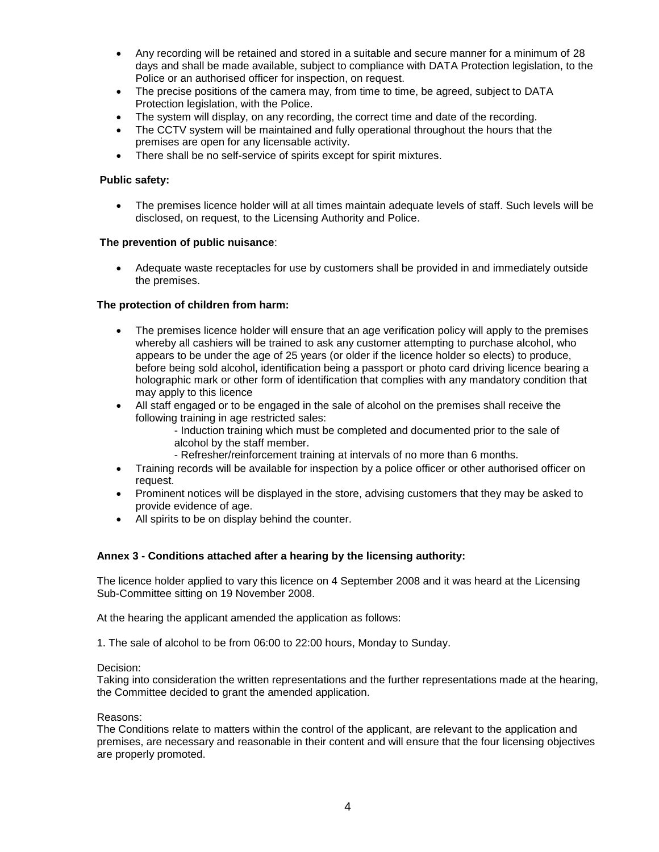- Any recording will be retained and stored in a suitable and secure manner for a minimum of 28 days and shall be made available, subject to compliance with DATA Protection legislation, to the Police or an authorised officer for inspection, on request.
- The precise positions of the camera may, from time to time, be agreed, subject to DATA Protection legislation, with the Police.
- The system will display, on any recording, the correct time and date of the recording.
- The CCTV system will be maintained and fully operational throughout the hours that the premises are open for any licensable activity.
- There shall be no self-service of spirits except for spirit mixtures.

#### **Public safety:**

 The premises licence holder will at all times maintain adequate levels of staff. Such levels will be disclosed, on request, to the Licensing Authority and Police.

#### **The prevention of public nuisance**:

 Adequate waste receptacles for use by customers shall be provided in and immediately outside the premises.

### **The protection of children from harm:**

- The premises licence holder will ensure that an age verification policy will apply to the premises whereby all cashiers will be trained to ask any customer attempting to purchase alcohol, who appears to be under the age of 25 years (or older if the licence holder so elects) to produce, before being sold alcohol, identification being a passport or photo card driving licence bearing a holographic mark or other form of identification that complies with any mandatory condition that may apply to this licence
- All staff engaged or to be engaged in the sale of alcohol on the premises shall receive the following training in age restricted sales:
	- Induction training which must be completed and documented prior to the sale of alcohol by the staff member.
	- Refresher/reinforcement training at intervals of no more than 6 months.
- Training records will be available for inspection by a police officer or other authorised officer on request.
- Prominent notices will be displayed in the store, advising customers that they may be asked to provide evidence of age.
- All spirits to be on display behind the counter.

#### **Annex 3 - Conditions attached after a hearing by the licensing authority:**

The licence holder applied to vary this licence on 4 September 2008 and it was heard at the Licensing Sub-Committee sitting on 19 November 2008.

At the hearing the applicant amended the application as follows:

1. The sale of alcohol to be from 06:00 to 22:00 hours, Monday to Sunday.

#### Decision:

Taking into consideration the written representations and the further representations made at the hearing, the Committee decided to grant the amended application.

#### Reasons:

The Conditions relate to matters within the control of the applicant, are relevant to the application and premises, are necessary and reasonable in their content and will ensure that the four licensing objectives are properly promoted.